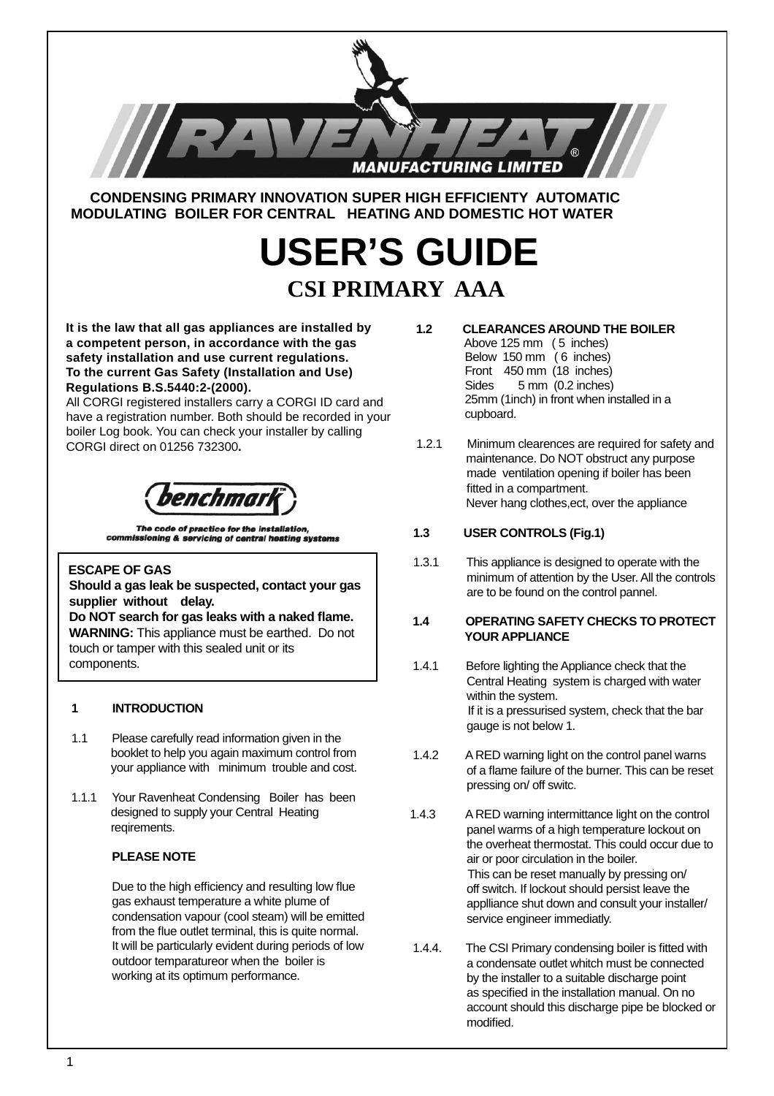

 **CONDENSING PRIMARY INNOVATION SUPER HIGH EFFICIENTY AUTOMATIC MODULATING BOILER FOR CENTRAL HEATING AND DOMESTIC HOT WATER**

# **USER'S GUIDE CSI PRIMARY AAA**

 **It is the law that all gas appliances are installed by a competent person, in accordance with the gas safety installation and use current regulations. To the current Gas Safety (Installation and Use) Regulations B.S.5440:2-(2000).**

All CORGI registered installers carry a CORGI ID card and have a registration number. Both should be recorded in your boiler Log book. You can check your installer by calling CORGI direct on 01256 732300**.**

benchmai

The code of practice for the installation, commissioning & servicing of central heating systems

# **ESCAPE OF GAS**

ļ

 **Should a gas leak be suspected, contact your gas supplier without delay.**

 **Do NOT search for gas leaks with a naked fl ame. WARNING:** This appliance must be earthed. Do not touch or tamper with this sealed unit or its components.

# **1 INTRODUCTION**

- 1.1 Please carefully read information given in the booklet to help you again maximum control from your appliance with minimum trouble and cost.
- 1.1.1Your Ravenheat Condensing Boiler has been designed to supply your Central Heating reqirements.

# **PLEASE NOTE**

Due to the high efficiency and resulting low flue gas exhaust temperature a white plume of condensation vapour (cool steam) will be emitted from the flue outlet terminal, this is quite normal. It will be particularly evident during periods of low outdoor temparatureor when the boiler is working at its optimum performance.

- **1.2 CLEARANCES AROUND THE BOILER**
	- Above 125 mm ( 5 inches) Below 150 mm (6 inches) Front 450 mm (18 inches) Sides 5 mm (0.2 inches) 25mm (1inch) in front when installed in a cupboard.
- 1.2.1 Minimum clearences are required for safety and maintenance. Do NOT obstruct any purpose made ventilation opening if boiler has been fitted in a compartment. Never hang clothes,ect, over the appliance

# **1.3 USER CONTROLS (Fig.1)**

1.3.1 This appliance is designed to operate with the minimum of attention by the User. All the controls are to be found on the control pannel.

#### **1.4 OPERATING SAFETY CHECKS TO PROTECT YOUR APPLIANCE**

- 1.4.1 Before lighting the Appliance check that the Central Heating system is charged with water within the system. If it is a pressurised system, check that the bar gauge is not below 1.
- 1.4.2 A RED warning light on the control panel warns of a flame failure of the burner. This can be reset pressing on/ off switc.
- 1.4.3 A RED warning intermittance light on the control panel warms of a high temperature lockout on the overheat thermostat. This could occur due to air or poor circulation in the boiler. This can be reset manually by pressing on/ off switch. If lockout should persist leave the applliance shut down and consult your installer/ service engineer immediatly.
- 1.4.4. The CSI Primary condensing boiler is fitted with a condensate outlet whitch must be connected by the installer to a suitable discharge point as specified in the installation manual. On no account should this discharge pipe be blocked or modified.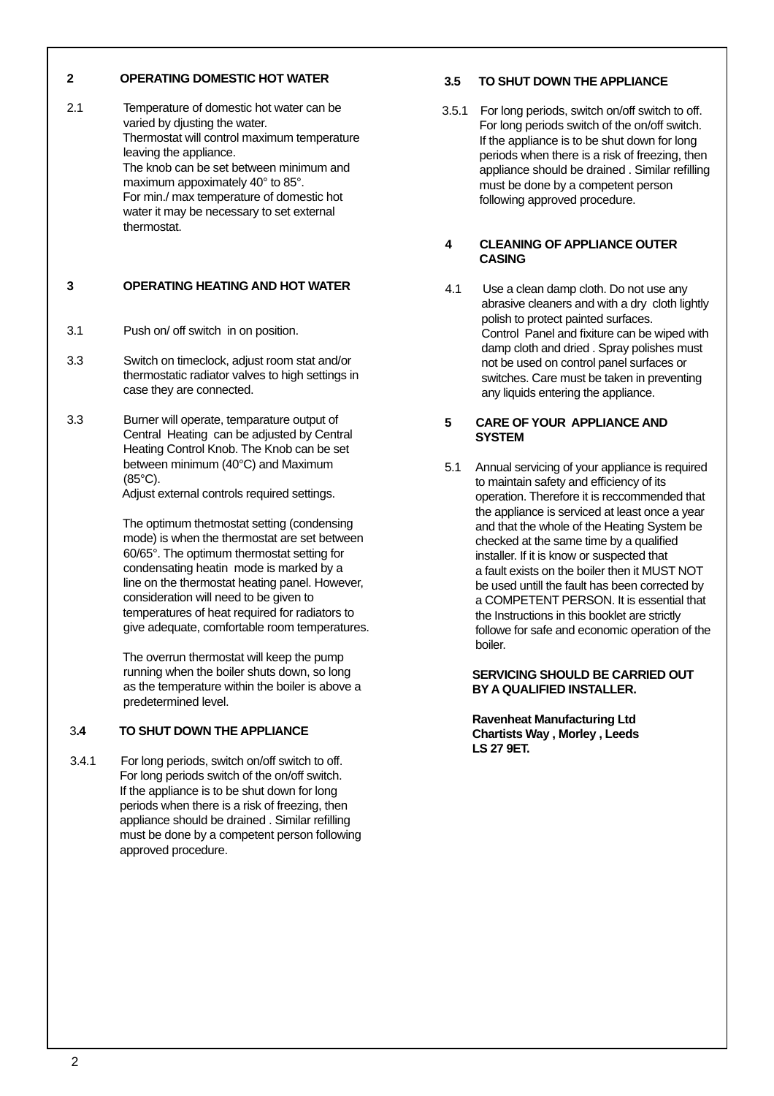## **2 OPERATING DOMESTIC HOT WATER**

2.1 Temperature of domestic hot water can be varied by djusting the water. Thermostat will control maximum temperature leaving the appliance. The knob can be set between minimum and maximum appoximately 40° to 85°. For min./ max temperature of domestic hot water it may be necessary to set external thermostat.

# **3 OPERATING HEATING AND HOT WATER**

- 3.1 Push on/ off switch in on position.
- 3.3 Switch on timeclock, adjust room stat and/or thermostatic radiator valves to high settings in case they are connected.
- 3.3 Burner will operate, temparature output of Central Heating can be adjusted by Central Heating Control Knob. The Knob can be set between minimum (40°C) and Maximum (85°C).

Adjust external controls required settings.

 The optimum thetmostat setting (condensing mode) is when the thermostat are set between 60/65°. The optimum thermostat setting for condensating heatin mode is marked by a line on the thermostat heating panel. However, consideration will need to be given to temperatures of heat required for radiators to give adequate, comfortable room temperatures.

 The overrun thermostat will keep the pump running when the boiler shuts down, so long as the temperature within the boiler is above a predetermined level.

# 3**.4 TO SHUT DOWN THE APPLIANCE**

 3.4.1 For long periods, switch on/off switch to off. For long periods switch of the on/off switch. If the appliance is to be shut down for long periods when there is a risk of freezing, then appliance should be drained . Similar refilling must be done by a competent person following approved procedure.

# **3.5 TO SHUT DOWN THE APPLIANCE**

 3.5.1 For long periods, switch on/off switch to off. For long periods switch of the on/off switch. If the appliance is to be shut down for long periods when there is a risk of freezing, then appliance should be drained . Similar refilling must be done by a competent person following approved procedure.

## **4 CLEANING OF APPLIANCE OUTER CASING**

4.1 Use a clean damp cloth. Do not use any abrasive cleaners and with a dry cloth lightly polish to protect painted surfaces. Control Panel and fixiture can be wiped with damp cloth and dried . Spray polishes must not be used on control panel surfaces or switches. Care must be taken in preventing any liquids entering the appliance.

# **5 CARE OF YOUR APPLIANCE AND SYSTEM**

5.1 Annual servicing of your appliance is required to maintain safety and efficiency of its operation. Therefore it is reccommended that the appliance is serviced at least once a year and that the whole of the Heating System be checked at the same time by a qualified installer. If it is know or suspected that a fault exists on the boiler then it MUST NOT be used untill the fault has been corrected by a COMPETENT PERSON. It is essential that the Instructions in this booklet are strictly followe for safe and economic operation of the boiler.

#### **SERVICING SHOULD BE CARRIED OUT BY A QUALIFIED INSTALLER.**

 **Ravenheat Manufacturing Ltd Chartists Way , Morley , Leeds LS 27 9ET.**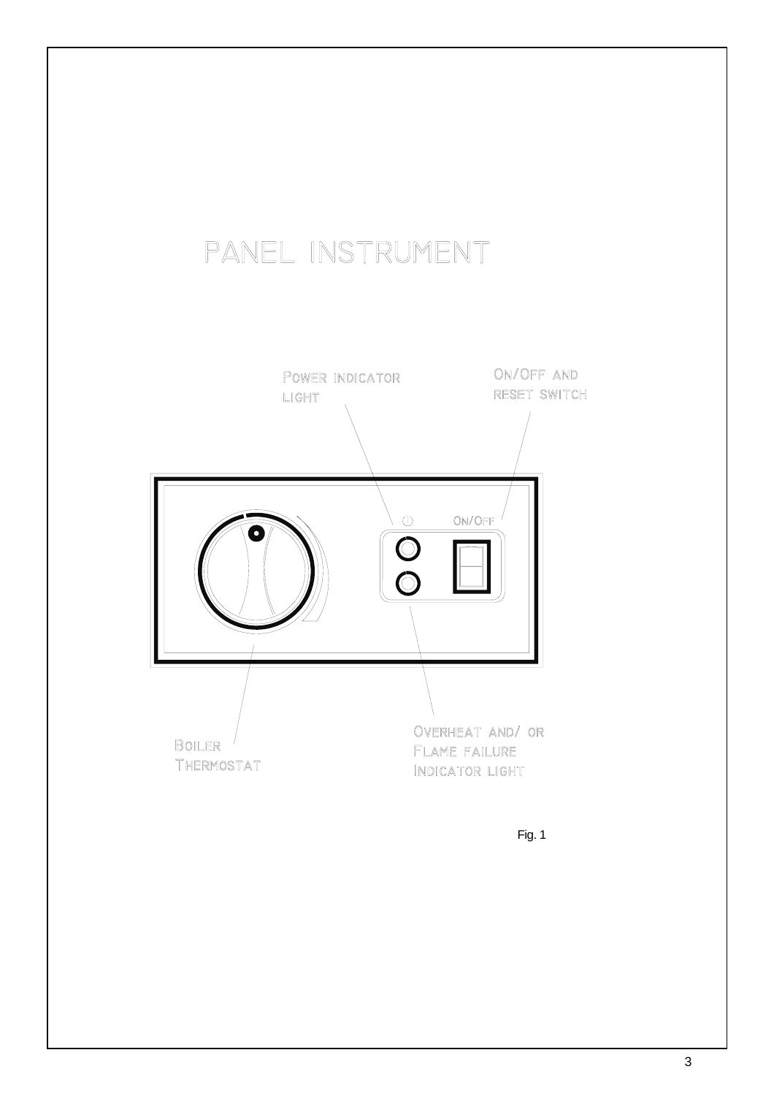# PANEL INSTRUMENT



Fig. 1